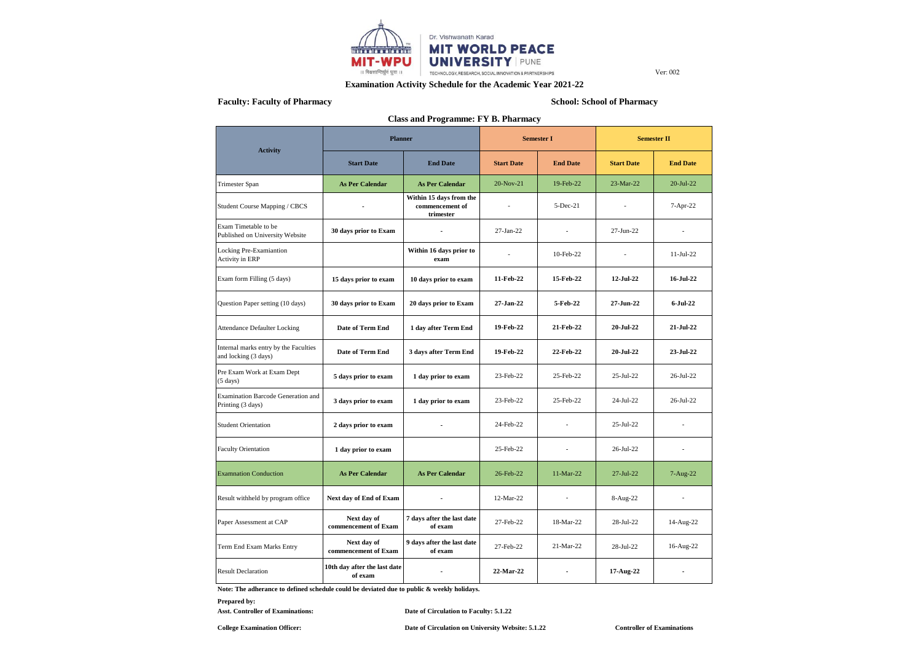

## **Examination Activity Schedule for the Academic Year 2021-22**

# **Faculty: Faculty of Pharmacy School: School of Pharmacy**

| <b>Class and Programme: FY B. Pharmacy</b>                    |                                                           |                                                         |                   |                 |                    |                          |  |  |  |
|---------------------------------------------------------------|-----------------------------------------------------------|---------------------------------------------------------|-------------------|-----------------|--------------------|--------------------------|--|--|--|
| <b>Activity</b>                                               | <b>Planner</b>                                            |                                                         | <b>Semester I</b> |                 | <b>Semester II</b> |                          |  |  |  |
|                                                               | <b>Start Date</b>                                         | <b>End Date</b>                                         | <b>Start Date</b> | <b>End Date</b> | <b>Start Date</b>  | <b>End Date</b>          |  |  |  |
| Trimester Span                                                | <b>As Per Calendar</b>                                    | <b>As Per Calendar</b>                                  | 20-Nov-21         | 19-Feb-22       | 23-Mar-22          | 20-Jul-22                |  |  |  |
| Student Course Mapping / CBCS                                 |                                                           | Within 15 days from the<br>commencement of<br>trimester |                   | $5-Dec-21$      |                    | 7-Apr-22                 |  |  |  |
| Exam Timetable to be<br>Published on University Website       | 30 days prior to Exam                                     |                                                         | 27-Jan-22         | ÷               | 27-Jun-22          | $\overline{\phantom{a}}$ |  |  |  |
| Locking Pre-Examiantion<br><b>Activity in ERP</b>             |                                                           | Within 16 days prior to<br>exam                         |                   | 10-Feb-22       |                    | $11-Jul-22$              |  |  |  |
| Exam form Filling (5 days)                                    | 15 days prior to exam                                     | 10 days prior to exam                                   | 11-Feb-22         | 15-Feb-22       | 12-Jul-22          | 16-Jul-22                |  |  |  |
| Question Paper setting (10 days)                              | 30 days prior to Exam                                     | 20 days prior to Exam                                   | 27-Jan-22         | 5-Feb-22        | 27-Jun-22          | 6-Jul-22                 |  |  |  |
| <b>Attendance Defaulter Locking</b>                           | Date of Term End                                          | 1 day after Term End                                    | 19-Feb-22         | 21-Feb-22       | 20-Jul-22          | 21-Jul-22                |  |  |  |
| Internal marks entry by the Faculties<br>and locking (3 days) | Date of Term End                                          | 3 days after Term End                                   | 19-Feb-22         | 22-Feb-22       | $20 -$ Jul- $22$   | 23-Jul-22                |  |  |  |
| Pre Exam Work at Exam Dept<br>$(5 \text{ days})$              | 5 days prior to exam                                      | 1 day prior to exam                                     | 23-Feb-22         | 25-Feb-22       | 25-Jul-22          | 26-Jul-22                |  |  |  |
| Examination Barcode Generation and<br>Printing (3 days)       | 3 days prior to exam                                      | 1 day prior to exam                                     | 23-Feb-22         | 25-Feb-22       | 24-Jul-22          | 26-Jul-22                |  |  |  |
| <b>Student Orientation</b>                                    | 2 days prior to exam                                      |                                                         | 24-Feb-22         | $\overline{a}$  | 25-Jul-22          |                          |  |  |  |
| <b>Faculty Orientation</b>                                    | 1 day prior to exam                                       |                                                         | 25-Feb-22         | $\overline{a}$  | 26-Jul-22          |                          |  |  |  |
| <b>Examnation Conduction</b>                                  | <b>As Per Calendar</b>                                    | <b>As Per Calendar</b>                                  | 26-Feb-22         | 11-Mar-22       | 27-Jul-22          | 7-Aug-22                 |  |  |  |
| Result withheld by program office                             | Next day of End of Exam                                   |                                                         | 12-Mar-22         |                 | 8-Aug-22           |                          |  |  |  |
| Paper Assessment at CAP                                       | Next day of<br>commencement of Exam                       | 7 days after the last date<br>of exam                   | 27-Feb-22         | 18-Mar-22       | 28-Jul-22          | 14-Aug-22                |  |  |  |
| Term End Exam Marks Entry                                     | Next day of<br>commencement of Exam                       | 9 days after the last date<br>of exam                   | 27-Feb-22         | 21-Mar-22       | 28-Jul-22          | 16-Aug-22                |  |  |  |
| <b>Result Declaration</b>                                     | 10th day after the last date<br>$\blacksquare$<br>of exam |                                                         | 22-Mar-22         | $\blacksquare$  | 17-Aug-22          |                          |  |  |  |

**Note: The adherance to defined schedule could be deviated due to public & weekly holidays.**

**Prepared by:**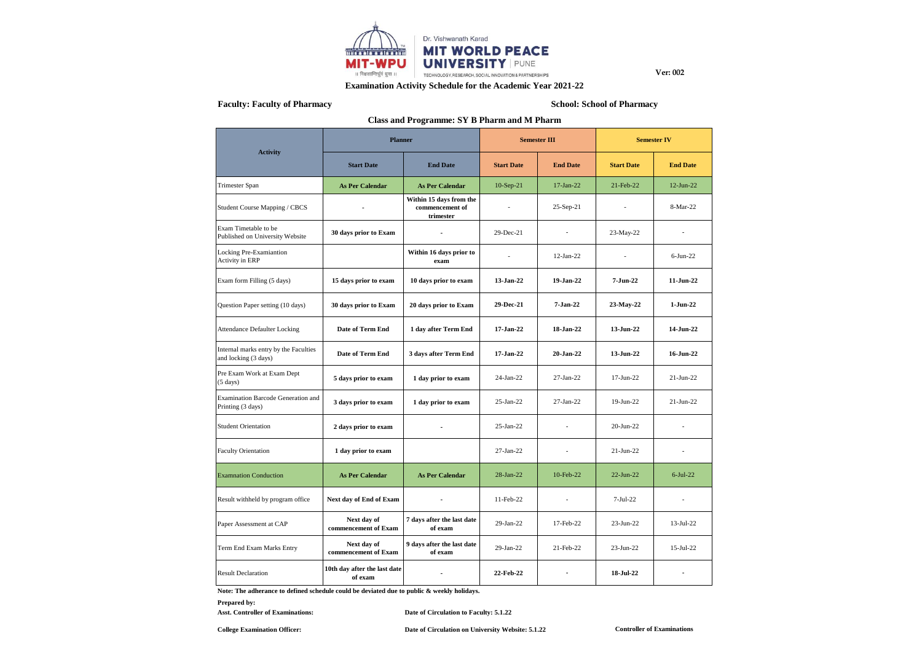

## **Examination Activity Schedule for the Academic Year 2021-22**

## **Faculty: Faculty of Pharmacy School: School of Pharmacy**

## **Class and Programme: SY B Pharm and M Pharm**

|                                                                | <b>Planner</b>                          |                                                         | <b>Semester III</b> |                 | <b>Semester IV</b> |                 |  |
|----------------------------------------------------------------|-----------------------------------------|---------------------------------------------------------|---------------------|-----------------|--------------------|-----------------|--|
| <b>Activity</b>                                                | <b>Start Date</b>                       | <b>End Date</b>                                         | <b>Start Date</b>   | <b>End Date</b> | <b>Start Date</b>  | <b>End Date</b> |  |
| Trimester Span                                                 | <b>As Per Calendar</b>                  | <b>As Per Calendar</b>                                  |                     | 17-Jan-22       | 21-Feb-22          | 12-Jun-22       |  |
| Student Course Mapping / CBCS                                  |                                         | Within 15 days from the<br>commencement of<br>trimester |                     | 25-Sep-21       |                    | 8-Mar-22        |  |
| Exam Timetable to be<br>Published on University Website        | 30 days prior to Exam                   |                                                         | 29-Dec-21           | $\overline{a}$  | 23-May-22          |                 |  |
| Locking Pre-Examiantion<br><b>Activity in ERP</b>              |                                         | Within 16 days prior to<br>exam                         |                     | $12$ -Jan-22    | ÷,                 | $6-Jun-22$      |  |
| Exam form Filling (5 days)                                     | 15 days prior to exam                   | 10 days prior to exam                                   | 13-Jan-22           | 19-Jan-22       | $7 - Jun-22$       | $11$ -Jun-22    |  |
| Question Paper setting (10 days)                               | 30 days prior to Exam                   | 20 days prior to Exam                                   | 29-Dec-21           | 7-Jan-22        | 23-May-22          | $1-Jun-22$      |  |
| <b>Attendance Defaulter Locking</b>                            | Date of Term End                        | 1 day after Term End                                    | 17-Jan-22           | 18-Jan-22       | 13-Jun-22          | 14-Jun-22       |  |
| Internal marks entry by the Faculties<br>and locking (3 days)  | Date of Term End                        | 3 days after Term End                                   | 17-Jan-22           | 20-Jan-22       | 13-Jun-22          | 16-Jun-22       |  |
| Pre Exam Work at Exam Dept<br>$(5 \text{ days})$               | 5 days prior to exam                    | 1 day prior to exam                                     | 24-Jan-22           | 27-Jan-22       | $17-Jun-22$        | $21-Jun-22$     |  |
| <b>Examination Barcode Generation and</b><br>Printing (3 days) | 3 days prior to exam                    | 1 day prior to exam                                     | $25-Ian-22$         | 27-Jan-22       | 19-Jun-22          | $21-Jun-22$     |  |
| <b>Student Orientation</b>                                     | 2 days prior to exam                    |                                                         | $25-Ian-22$         |                 | $20 - Jun-22$      |                 |  |
| <b>Faculty Orientation</b>                                     | 1 day prior to exam                     |                                                         | 27-Jan-22           | $\overline{a}$  | $21-Jun-22$        | ٠               |  |
| <b>Examnation Conduction</b>                                   | <b>As Per Calendar</b>                  | <b>As Per Calendar</b>                                  | $28$ -Jan- $22$     | 10-Feb-22       | $22$ -Jun- $22$    | $6$ -Jul-22     |  |
| Result withheld by program office                              | Next day of End of Exam                 |                                                         | 11-Feb-22           | $\overline{a}$  | $7-Jul-22$         |                 |  |
| Paper Assessment at CAP                                        | Next day of<br>commencement of Exam     | 7 days after the last date<br>of exam                   | 29-Jan-22           | 17-Feb-22       | $23-Jun-22$        | $13-Jul-22$     |  |
| Term End Exam Marks Entry                                      | Next day of<br>commencement of Exam     | 9 days after the last date<br>of exam                   | 29-Jan-22           | 21-Feb-22       | $23-Jun-22$        | $15$ -Jul-22    |  |
| <b>Result Declaration</b>                                      | 10th day after the last date<br>of exam |                                                         | 22-Feb-22           |                 | 18-Jul-22          |                 |  |

**Note: The adherance to defined schedule could be deviated due to public & weekly holidays.**

#### **Prepared by:**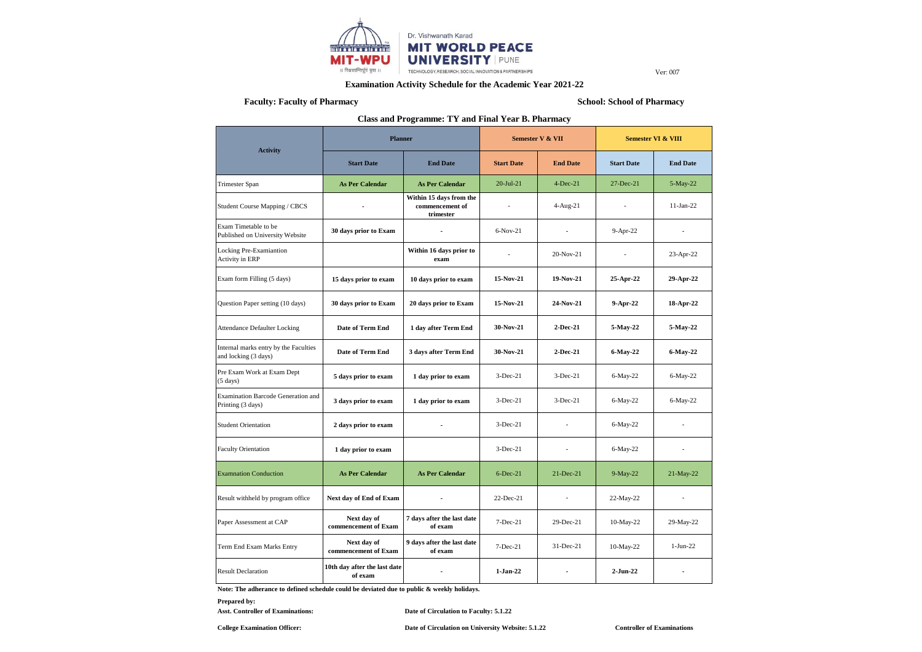

## **Examination Activity Schedule for the Academic Year 2021-22**

# **Faculty: Faculty of Pharmacy School: School of Pharmacy**

**Class and Programme: TY and Final Year B. Pharmacy**

|                                                                | <b>Planner</b>                          |                                                         | Semester V & VII |                          | <b>Semester VI &amp; VIII</b> |                 |  |
|----------------------------------------------------------------|-----------------------------------------|---------------------------------------------------------|------------------|--------------------------|-------------------------------|-----------------|--|
| <b>Activity</b>                                                | <b>Start Date</b>                       | <b>End Date</b>                                         |                  | <b>End Date</b>          | <b>Start Date</b>             | <b>End Date</b> |  |
| Trimester Span                                                 | <b>As Per Calendar</b>                  | <b>As Per Calendar</b>                                  | $20$ -Jul-21     | $4-Dec-21$               | 27-Dec-21                     | 5-May-22        |  |
| Student Course Mapping / CBCS                                  |                                         | Within 15 days from the<br>commencement of<br>trimester |                  | 4-Aug-21                 |                               | $11-Jan-22$     |  |
| Exam Timetable to be<br>Published on University Website        | 30 days prior to Exam                   |                                                         | $6-Nov-21$       | $\overline{a}$           | 9-Apr-22                      |                 |  |
| Locking Pre-Examiantion<br><b>Activity in ERP</b>              |                                         | Within 16 days prior to<br>exam                         |                  | 20-Nov-21                | $\overline{a}$                | 23-Apr-22       |  |
| Exam form Filling (5 days)                                     | 15 days prior to exam                   | 10 days prior to exam                                   | 15-Nov-21        | 19-Nov-21                | 25-Apr-22                     | 29-Apr-22       |  |
| Question Paper setting (10 days)                               | 30 days prior to Exam                   | 20 days prior to Exam                                   | 15-Nov-21        | 24-Nov-21                | 9-Apr-22                      | 18-Apr-22       |  |
| <b>Attendance Defaulter Locking</b>                            | Date of Term End                        | 1 day after Term End                                    | 30-Nov-21        | $2-Dec-21$               | 5-May-22                      | 5-May-22        |  |
| Internal marks entry by the Faculties<br>and locking (3 days)  | <b>Date of Term End</b>                 | 3 days after Term End                                   | 30-Nov-21        | $2-Dec-21$               | 6-May-22                      | 6-May-22        |  |
| Pre Exam Work at Exam Dept<br>$(5 \text{ days})$               | 5 days prior to exam                    | 1 day prior to exam                                     | $3-Dec-21$       | $3-Dec-21$               | $6$ -May-22                   | $6-May-22$      |  |
| <b>Examination Barcode Generation and</b><br>Printing (3 days) | 3 days prior to exam                    | 1 day prior to exam                                     | $3-Dec-21$       | $3-Dec-21$               | 6-May-22                      | $6-May-22$      |  |
| <b>Student Orientation</b>                                     | 2 days prior to exam                    |                                                         | $3-Dec-21$       |                          | $6$ -May-22                   |                 |  |
| <b>Faculty Orientation</b>                                     | 1 day prior to exam                     |                                                         | $3-Dec-21$       | $\overline{\phantom{a}}$ | $6$ -May-22                   |                 |  |
| <b>Examnation Conduction</b>                                   | <b>As Per Calendar</b>                  | <b>As Per Calendar</b>                                  | $6$ -Dec-21      | 21-Dec-21                | 9-May-22                      | 21-May-22       |  |
| Result withheld by program office                              | Next day of End of Exam                 |                                                         | $22$ -Dec-21     | $\overline{\phantom{a}}$ | 22-May-22                     | $\overline{a}$  |  |
| Paper Assessment at CAP                                        | Next day of<br>commencement of Exam     | 7 days after the last date<br>of exam                   | 7-Dec-21         | 29-Dec-21                | 10-May-22                     | 29-May-22       |  |
| Term End Exam Marks Entry                                      | Next day of<br>commencement of Exam     | 9 days after the last date<br>of exam                   | $7-Dec-21$       | $31 - Dec-21$            | 10-May-22                     | $1-Jun-22$      |  |
| <b>Result Declaration</b>                                      | 10th day after the last date<br>of exam |                                                         | $1-Jan-22$       |                          | 2-Jun-22                      |                 |  |

**Note: The adherance to defined schedule could be deviated due to public & weekly holidays.**

**Prepared by:**

Asst. Controller of Examinations: Date of Circulation to Faculty: 5.1.22

**College Examination Officer: Date of Circulation on University Website: 5.1.22**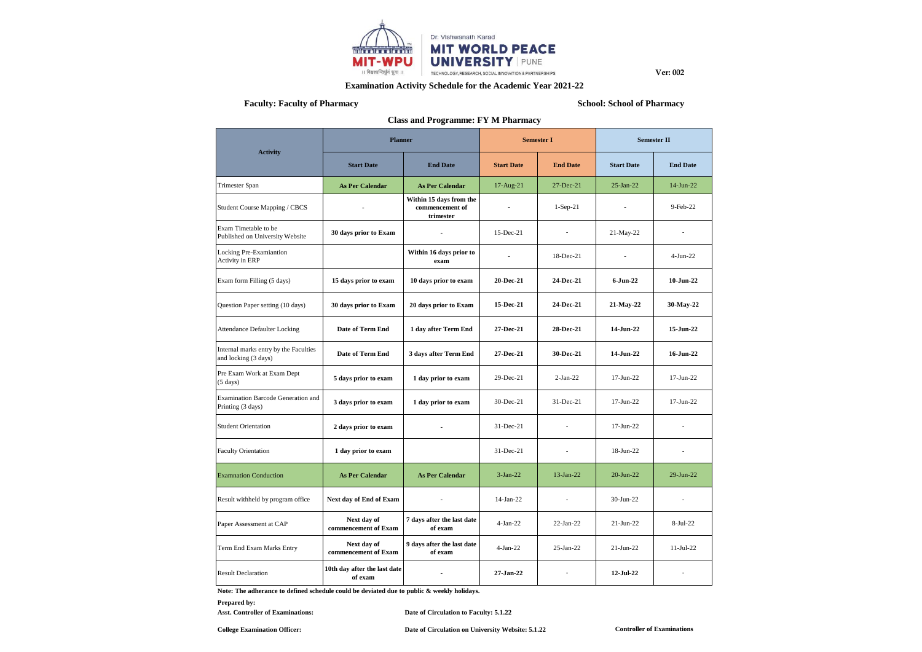

## **Examination Activity Schedule for the Academic Year 2021-22**

# **Faculty: Faculty of Pharmacy School: School of Pharmacy**

| <b>Class and Programme: FY M Pharmacy</b>                     |                                         |                                                         |                   |                          |                    |                 |  |  |  |
|---------------------------------------------------------------|-----------------------------------------|---------------------------------------------------------|-------------------|--------------------------|--------------------|-----------------|--|--|--|
|                                                               | <b>Planner</b>                          |                                                         | <b>Semester I</b> |                          | <b>Semester II</b> |                 |  |  |  |
| <b>Activity</b>                                               | <b>Start Date</b>                       | <b>End Date</b>                                         | <b>Start Date</b> | <b>End Date</b>          | <b>Start Date</b>  | <b>End Date</b> |  |  |  |
| Trimester Span                                                | <b>As Per Calendar</b>                  | 17-Aug-21<br><b>As Per Calendar</b>                     |                   | 27-Dec-21                | $25-Ian-22$        | 14-Jun-22       |  |  |  |
| Student Course Mapping / CBCS                                 |                                         | Within 15 days from the<br>commencement of<br>trimester |                   | $1-Sep-21$               |                    | $9-Feb-22$      |  |  |  |
| Exam Timetable to be<br>Published on University Website       | 30 days prior to Exam                   |                                                         | $15$ -Dec-21      | ٠                        | 21-May-22          |                 |  |  |  |
| Locking Pre-Examiantion<br><b>Activity in ERP</b>             |                                         | Within 16 days prior to<br>exam                         |                   | 18-Dec-21                | ÷                  | $4-Jun-22$      |  |  |  |
| Exam form Filling (5 days)                                    | 15 days prior to exam                   | 10 days prior to exam                                   | 20-Dec-21         | 24-Dec-21                | $6$ -Jun-22        | $10$ -Jun-22    |  |  |  |
| Question Paper setting (10 days)                              | 30 days prior to Exam                   | 20 days prior to Exam                                   | 15-Dec-21         | 24-Dec-21                | 21-May-22          | 30-May-22       |  |  |  |
| <b>Attendance Defaulter Locking</b>                           | Date of Term End                        | 1 day after Term End                                    | 27-Dec-21         | 28-Dec-21                | 14-Jun-22          | 15-Jun-22       |  |  |  |
| Internal marks entry by the Faculties<br>and locking (3 days) | Date of Term End                        | 3 days after Term End                                   | 27-Dec-21         | 30-Dec-21                | 14-Jun-22          | 16-Jun-22       |  |  |  |
| Pre Exam Work at Exam Dept<br>$(5 \text{ days})$              | 5 days prior to exam                    | 1 day prior to exam                                     | 29-Dec-21         | $2-Jan-22$               | 17-Jun-22          | 17-Jun-22       |  |  |  |
| Examination Barcode Generation and<br>Printing (3 days)       | 3 days prior to exam                    | 1 day prior to exam                                     | 30-Dec-21         | 31-Dec-21                | 17-Jun-22          | 17-Jun-22       |  |  |  |
| <b>Student Orientation</b>                                    | 2 days prior to exam                    |                                                         | 31-Dec-21         |                          | 17-Jun-22          |                 |  |  |  |
| <b>Faculty Orientation</b>                                    | 1 day prior to exam                     |                                                         | 31-Dec-21         |                          | 18-Jun-22          |                 |  |  |  |
| <b>Examnation Conduction</b>                                  | <b>As Per Calendar</b>                  | <b>As Per Calendar</b>                                  | $3-Jan-22$        | 13-Jan-22                | 20-Jun-22          | 29-Jun-22       |  |  |  |
| Result withheld by program office                             | Next day of End of Exam                 |                                                         | 14-Jan-22         |                          | 30-Jun-22          |                 |  |  |  |
| Paper Assessment at CAP                                       | Next day of<br>commencement of Exam     | 7 days after the last date<br>of exam                   | $4-Jan-22$        | $22-Ian-22$              | $21-Jun-22$        | 8-Jul-22        |  |  |  |
| Term End Exam Marks Entry                                     | Next day of<br>commencement of Exam     | 9 days after the last date<br>of exam                   | $4-Jan-22$        | 25-Jan-22                | $21-Jun-22$        | $11-Jul-22$     |  |  |  |
| <b>Result Declaration</b>                                     | 10th day after the last date<br>of exam | ٠                                                       | 27-Jan-22         | $\overline{\phantom{a}}$ | 12-Jul-22          | ٠               |  |  |  |

**Note: The adherance to defined schedule could be deviated due to public & weekly holidays.**

### **Prepared by:**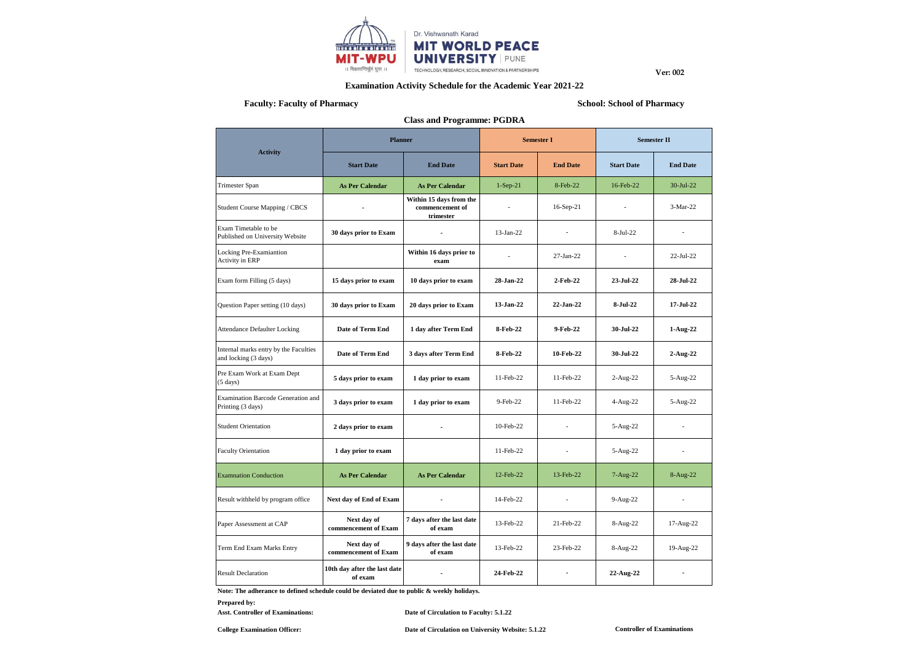

## **Examination Activity Schedule for the Academic Year 2021-22**

# **Faculty: Faculty of Pharmacy School: School: School: School: School: School: School: School: School: School: School: School: School: School: School: School: School: School: School: School: School: School: School: School**

| <b>Class and Programme: PGDRA</b>                              |                                         |                                                         |                   |                          |                    |                 |  |  |  |  |
|----------------------------------------------------------------|-----------------------------------------|---------------------------------------------------------|-------------------|--------------------------|--------------------|-----------------|--|--|--|--|
|                                                                | <b>Planner</b>                          |                                                         |                   | <b>Semester I</b>        | <b>Semester II</b> |                 |  |  |  |  |
| <b>Activity</b>                                                | <b>Start Date</b>                       | <b>End Date</b>                                         | <b>Start Date</b> | <b>End Date</b>          | <b>Start Date</b>  | <b>End Date</b> |  |  |  |  |
| Trimester Span                                                 | <b>As Per Calendar</b>                  | <b>As Per Calendar</b>                                  |                   | 8-Feb-22                 | 16-Feb-22          | 30-Jul-22       |  |  |  |  |
| Student Course Mapping / CBCS                                  |                                         | Within 15 days from the<br>commencement of<br>trimester |                   | 16-Sep-21                |                    | 3-Mar-22        |  |  |  |  |
| Exam Timetable to be<br>Published on University Website        | 30 days prior to Exam                   |                                                         | $13-Jan-22$       | ٠                        | $8-Jul-22$         |                 |  |  |  |  |
| Locking Pre-Examiantion<br><b>Activity in ERP</b>              |                                         | Within 16 days prior to<br>exam                         |                   | 27-Jan-22                |                    | 22-Jul-22       |  |  |  |  |
| Exam form Filling (5 days)                                     | 15 days prior to exam                   | 10 days prior to exam                                   |                   | 2-Feb-22                 | 23-Jul-22          | 28-Jul-22       |  |  |  |  |
| Question Paper setting (10 days)                               | 30 days prior to Exam                   | 20 days prior to Exam                                   |                   | 22-Jan-22                | 8-Jul-22           | 17-Jul-22       |  |  |  |  |
| <b>Attendance Defaulter Locking</b>                            | <b>Date of Term End</b>                 | 1 day after Term End                                    | 8-Feb-22          | 9-Feb-22                 | 30-Jul-22          | $1-Aug-22$      |  |  |  |  |
| Internal marks entry by the Faculties<br>and locking (3 days)  | Date of Term End                        | 3 days after Term End                                   | 8-Feb-22          | 10-Feb-22                | 30-Jul-22          | $2-Aug-22$      |  |  |  |  |
| Pre Exam Work at Exam Dept<br>$(5 \text{ days})$               | 5 days prior to exam                    | 1 day prior to exam                                     | 11-Feb-22         | 11-Feb-22                | 2-Aug-22           | 5-Aug-22        |  |  |  |  |
| <b>Examination Barcode Generation and</b><br>Printing (3 days) | 3 days prior to exam                    | 1 day prior to exam                                     | 9-Feb-22          | 11-Feb-22                | 4-Aug-22           | 5-Aug-22        |  |  |  |  |
| <b>Student Orientation</b>                                     | 2 days prior to exam                    |                                                         | 10-Feb-22         | $\overline{a}$           | 5-Aug-22           |                 |  |  |  |  |
| <b>Faculty Orientation</b>                                     | 1 day prior to exam                     |                                                         | 11-Feb-22         |                          | 5-Aug-22           |                 |  |  |  |  |
| <b>Examnation Conduction</b>                                   | <b>As Per Calendar</b>                  | <b>As Per Calendar</b>                                  | 12-Feb-22         | 13-Feb-22                | 7-Aug-22           | 8-Aug-22        |  |  |  |  |
| Result withheld by program office                              | Next day of End of Exam                 |                                                         | 14-Feb-22         |                          | 9-Aug-22           |                 |  |  |  |  |
| Paper Assessment at CAP                                        | Next day of<br>commencement of Exam     | 7 days after the last date<br>of exam                   | 13-Feb-22         | 21-Feb-22                | 8-Aug-22           | 17-Aug-22       |  |  |  |  |
| Term End Exam Marks Entry                                      | Next day of<br>commencement of Exam     | 9 days after the last date<br>of exam                   | 13-Feb-22         | 23-Feb-22                | 8-Aug-22           | 19-Aug-22       |  |  |  |  |
| <b>Result Declaration</b>                                      | 10th day after the last date<br>of exam | $\blacksquare$                                          | 24-Feb-22         | $\overline{\phantom{a}}$ | 22-Aug-22          |                 |  |  |  |  |

**Note: The adherance to defined schedule could be deviated due to public & weekly holidays.**

#### **Prepared by:**